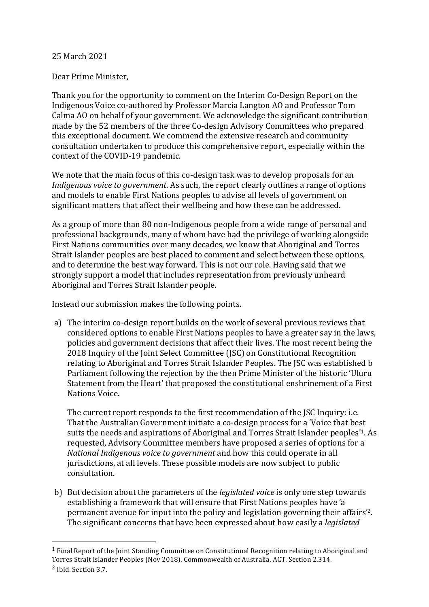## 25 March 2021

## Dear Prime Minister,

Thank you for the opportunity to comment on the Interim Co-Design Report on the Indigenous Voice co-authored by Professor Marcia Langton AO and Professor Tom Calma AO on behalf of your government. We acknowledge the significant contribution made by the 52 members of the three Co-design Advisory Committees who prepared this exceptional document. We commend the extensive research and community consultation undertaken to produce this comprehensive report, especially within the context of the COVID-19 pandemic.

We note that the main focus of this co-design task was to develop proposals for an *Indigenous voice to government*. As such, the report clearly outlines a range of options and models to enable First Nations peoples to advise all levels of government on significant matters that affect their wellbeing and how these can be addressed.

As a group of more than 80 non-Indigenous people from a wide range of personal and professional backgrounds, many of whom have had the privilege of working alongside First Nations communities over many decades, we know that Aboriginal and Torres Strait Islander peoples are best placed to comment and select between these options, and to determine the best way forward. This is not our role. Having said that we strongly support a model that includes representation from previously unheard Aboriginal and Torres Strait Islander people.

Instead our submission makes the following points.

a) The interim co-design report builds on the work of several previous reviews that considered options to enable First Nations peoples to have a greater say in the laws, policies and government decisions that affect their lives. The most recent being the 2018 Inquiry of the Joint Select Committee (JSC) on Constitutional Recognition relating to Aboriginal and Torres Strait Islander Peoples. The JSC was established b Parliament following the rejection by the then Prime Minister of the historic 'Uluru Statement from the Heart' that proposed the constitutional enshrinement of a First Nations Voice.

The current report responds to the first recommendation of the JSC Inquiry: i.e. That the Australian Government initiate a co-design process for a 'Voice that best suits the needs and aspirations of Aboriginal and Torres Strait Islander peoples'1. As requested, Advisory Committee members have proposed a series of options for a *National Indigenous voice to government* and how this could operate in all jurisdictions, at all levels. These possible models are now subject to public consultation.

b) But decision about the parameters of the *legislated voice* is only one step towards establishing a framework that will ensure that First Nations peoples have 'a permanent avenue for input into the policy and legislation governing their affairs'2. The significant concerns that have been expressed about how easily a *legislated*

<sup>1</sup> Final Report of the Joint Standing Committee on Constitutional Recognition relating to Aboriginal and Torres Strait Islander Peoples (Nov 2018). Commonwealth of Australia, ACT. Section 2.314.

<sup>2</sup> Ibid. Section 3.7.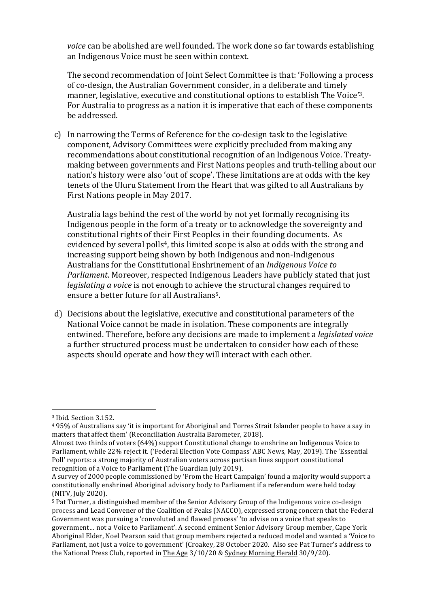*voice* can be abolished are well founded. The work done so far towards establishing an Indigenous Voice must be seen within context.

The second recommendation of Joint Select Committee is that: 'Following a process of co-design, the Australian Government consider, in a deliberate and timely manner, legislative, executive and constitutional options to establish The Voice'3. For Australia to progress as a nation it is imperative that each of these components be addressed.

c) In narrowing the Terms of Reference for the co-design task to the legislative component, Advisory Committees were explicitly precluded from making any recommendations about constitutional recognition of an Indigenous Voice. Treatymaking between governments and First Nations peoples and truth-telling about our nation's history were also 'out of scope'. These limitations are at odds with the key tenets of the Uluru Statement from the Heart that was gifted to all Australians by First Nations people in May 2017.

Australia lags behind the rest of the world by not yet formally recognising its Indigenous people in the form of a treaty or to acknowledge the sovereignty and constitutional rights of their First Peoples in their founding documents. As evidenced by several polls4, this limited scope is also at odds with the strong and increasing support being shown by both Indigenous and non-Indigenous Australians for the Constitutional Enshrinement of an *Indigenous Voice to Parliament*. Moreover, respected Indigenous Leaders have publicly stated that just *legislating a voice* is not enough to achieve the structural changes required to ensure a better future for all Australians5.

d) Decisions about the legislative, executive and constitutional parameters of the National Voice cannot be made in isolation. These components are integrally entwined. Therefore, before any decisions are made to implement a *legislated voice* a further structured process must be undertaken to consider how each of these aspects should operate and how they will interact with each other.

<sup>3</sup> Ibid. Section 3.152.

<sup>4</sup> 95% of Australians say 'it is important for Aboriginal and Torres Strait Islander people to have a say in matters that affect them' (Reconciliation Australia Barometer, 2018).

Almost two thirds of voters (64%) support Constitutional change to enshrine an Indigenous Voice to Parliament, while 22% reject it. ('Federal Election Vote Compass' ABC News, May, 2019). The 'Essential Poll' reports: a strong majority of Australian voters across partisan lines support constitutional recognition of a Voice to Parliament (The Guardian July 2019).

A survey of 2000 people commissioned by 'From the Heart Campaign' found a majority would support a constitutionally enshrined Aboriginal advisory body to Parliament if a referendum were held today (NITV, July 2020).

<sup>5</sup> Pat Turner, a distinguished member of the Senior Advisory Group of the Indigenous voice co-design process and Lead Convener of the Coalition of Peaks (NACCO), expressed strong concern that the Federal Government was pursuing a 'convoluted and flawed process' 'to advise on a voice that speaks to government… not a Voice to Parliament'. A second eminent Senior Advisory Group member, Cape York Aboriginal Elder, Noel Pearson said that group members rejected a reduced model and wanted a 'Voice to Parliament, not just a voice to government' (Croakey, 28 October 2020. Also see Pat Turner's address to the National Press Club, reported in The Age 3/10/20 & Sydney Morning Herald 30/9/20).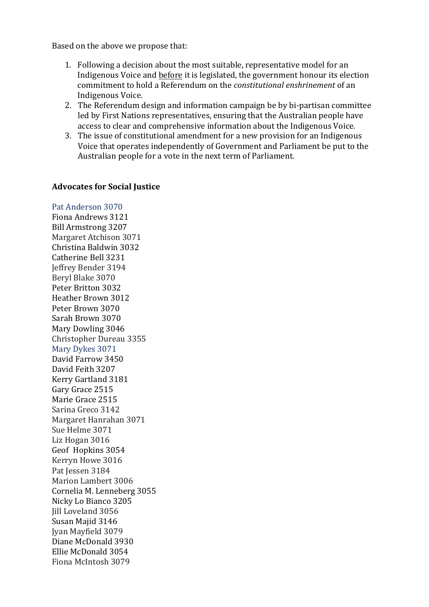Based on the above we propose that:

- 1. Following a decision about the most suitable, representative model for an Indigenous Voice and before it is legislated, the government honour its election commitment to hold a Referendum on the *constitutional enshrinement* of an Indigenous Voice.
- 2. The Referendum design and information campaign be by bi-partisan committee led by First Nations representatives, ensuring that the Australian people have access to clear and comprehensive information about the Indigenous Voice.
- 3. The issue of constitutional amendment for a new provision for an Indigenous Voice that operates independently of Government and Parliament be put to the Australian people for a vote in the next term of Parliament.

## **Advocates for Social Justice**

Pat Anderson 3070 Fiona Andrews 3121 Bill Armstrong 3207 Margaret Atchison 3071 Christina Baldwin 3032 Catherine Bell 3231 Jeffrey Bender 3194 Beryl Blake 3070 Peter Britton 3032 Heather Brown 3012 Peter Brown 3070 Sarah Brown 3070 Mary Dowling 3046 Christopher Dureau 3355 Mary Dykes 3071 David Farrow 3450 David Feith 3207 Kerry Gartland 3181 Gary Grace 2515 Marie Grace 2515 Sarina Greco 3142 Margaret Hanrahan 3071 Sue Helme 3071 Liz Hogan 3016 Geof Hopkins 3054 Kerryn Howe 3016 Pat Jessen 3184 Marion Lambert 3006 Cornelia M. Lenneberg 3055 Nicky Lo Bianco 3205 Jill Loveland 3056 Susan Majid 3146 Jyan Mayfield 3079 Diane McDonald 3930 Ellie McDonald 3054 Fiona McIntosh 3079